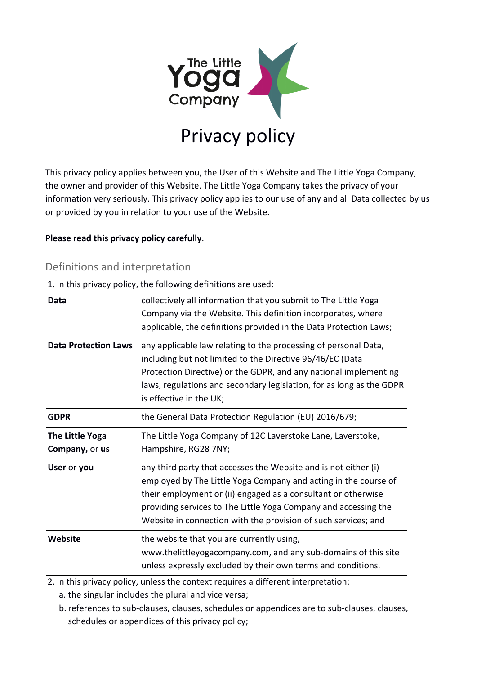

This privacy policy applies between you, the User of this Website and The Little Yoga Company, the owner and provider of this Website. The Little Yoga Company takes the privacy of your information very seriously. This privacy policy applies to our use of any and all Data collected by us or provided by you in relation to your use of the Website.

#### **Please read this privacy policy carefully**.

### Definitions and interpretation

1. In this privacy policy, the following definitions are used:

| Data                              | collectively all information that you submit to The Little Yoga<br>Company via the Website. This definition incorporates, where<br>applicable, the definitions provided in the Data Protection Laws;                                                                                                                                     |
|-----------------------------------|------------------------------------------------------------------------------------------------------------------------------------------------------------------------------------------------------------------------------------------------------------------------------------------------------------------------------------------|
| <b>Data Protection Laws</b>       | any applicable law relating to the processing of personal Data,<br>including but not limited to the Directive 96/46/EC (Data<br>Protection Directive) or the GDPR, and any national implementing<br>laws, regulations and secondary legislation, for as long as the GDPR<br>is effective in the UK;                                      |
| <b>GDPR</b>                       | the General Data Protection Regulation (EU) 2016/679;                                                                                                                                                                                                                                                                                    |
| The Little Yoga<br>Company, or us | The Little Yoga Company of 12C Laverstoke Lane, Laverstoke,<br>Hampshire, RG28 7NY;                                                                                                                                                                                                                                                      |
| User or you                       | any third party that accesses the Website and is not either (i)<br>employed by The Little Yoga Company and acting in the course of<br>their employment or (ii) engaged as a consultant or otherwise<br>providing services to The Little Yoga Company and accessing the<br>Website in connection with the provision of such services; and |
| Website                           | the website that you are currently using,<br>www.thelittleyogacompany.com, and any sub-domains of this site<br>unless expressly excluded by their own terms and conditions.                                                                                                                                                              |

2. In this privacy policy, unless the context requires a different interpretation:

a. the singular includes the plural and vice versa;

 b. references to sub-clauses, clauses, schedules or appendices are to sub-clauses, clauses, schedules or appendices of this privacy policy;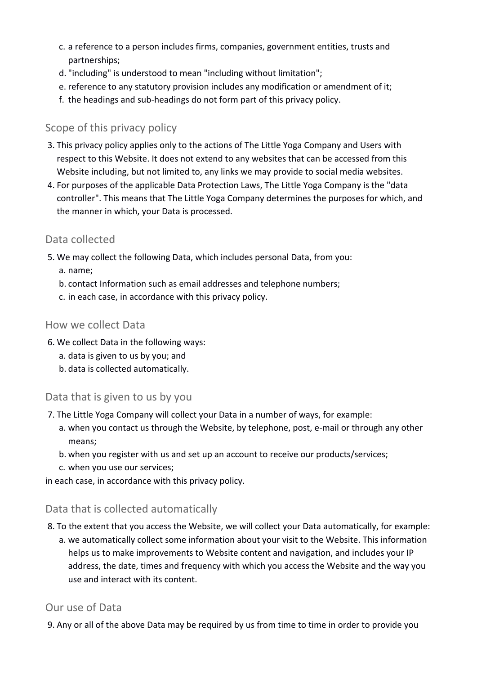- c. a reference to a person includes firms, companies, government entities, trusts and partnerships;
- d. "including" is understood to mean "including without limitation";
- e. reference to any statutory provision includes any modification or amendment of it;
- f. the headings and sub-headings do not form part of this privacy policy.

# Scope of this privacy policy

- 3. This privacy policy applies only to the actions of The Little Yoga Company and Users with respect to this Website. It does not extend to any websites that can be accessed from this Website including, but not limited to, any links we may provide to social media websites.
- 4. For purposes of the applicable Data Protection Laws, The Little Yoga Company is the "data controller". This means that The Little Yoga Company determines the purposes for which, and the manner in which, your Data is processed.

### Data collected

- 5. We may collect the following Data, which includes personal Data, from you:
	- a. name;
	- b. contact Information such as email addresses and telephone numbers;
	- c. in each case, in accordance with this privacy policy.

### How we collect Data

- 6. We collect Data in the following ways:
	- a. data is given to us by you; and
	- b. data is collected automatically.

# Data that is given to us by you

- 7. The Little Yoga Company will collect your Data in a number of ways, for example:
	- a. when you contact us through the Website, by telephone, post, e-mail or through any other means;
	- b. when you register with us and set up an account to receive our products/services;
	- c. when you use our services;

in each case, in accordance with this privacy policy.

# Data that is collected automatically

- 8. To the extent that you access the Website, we will collect your Data automatically, for example:
	- a. we automatically collect some information about your visit to the Website. This information helps us to make improvements to Website content and navigation, and includes your IP address, the date, times and frequency with which you access the Website and the way you use and interact with its content.

# Our use of Data

9. Any or all of the above Data may be required by us from time to time in order to provide you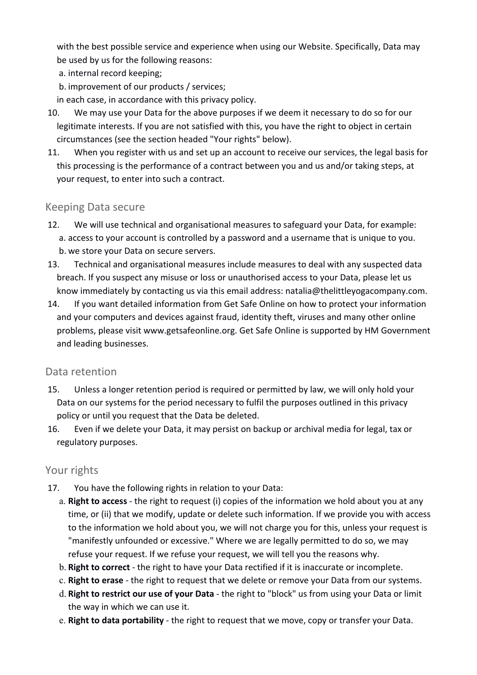with the best possible service and experience when using our Website. Specifically, Data may be used by us for the following reasons:

- a. internal record keeping;
- b. improvement of our products / services;

in each case, in accordance with this privacy policy.

- 10. We may use your Data for the above purposes if we deem it necessary to do so for our legitimate interests. If you are not satisfied with this, you have the right to object in certain circumstances (see the section headed "Your rights" below).
- 11. When you register with us and set up an account to receive our services, the legal basis for this processing is the performance of a contract between you and us and/or taking steps, at your request, to enter into such a contract.

### Keeping Data secure

- 12. We will use technical and organisational measures to safeguard your Data, for example: a. access to your account is controlled by a password and a username that is unique to you. b. we store your Data on secure servers.
- 13. Technical and organisational measures include measures to deal with any suspected data breach. If you suspect any misuse or loss or unauthorised access to your Data, please let us know immediately by contacting us via this email address: natalia@thelittleyogacompany.com.
- 14. If you want detailed information from Get Safe Online on how to protect your information and your computers and devices against fraud, identity theft, viruses and many other online problems, please visit www.getsafeonline.org. Get Safe Online is supported by HM Government and leading businesses.

#### Data retention

- 15. Unless a longer retention period is required or permitted by law, we will only hold your Data on our systems for the period necessary to fulfil the purposes outlined in this privacy policy or until you request that the Data be deleted.
- 16. Even if we delete your Data, it may persist on backup or archival media for legal, tax or regulatory purposes.

### Your rights

- 17. You have the following rights in relation to your Data:
	- a. **Right to access** the right to request (i) copies of the information we hold about you at any time, or (ii) that we modify, update or delete such information. If we provide you with access to the information we hold about you, we will not charge you for this, unless your request is "manifestly unfounded or excessive." Where we are legally permitted to do so, we may refuse your request. If we refuse your request, we will tell you the reasons why.
	- b. **Right to correct** the right to have your Data rectified if it is inaccurate or incomplete.
	- c. **Right to erase** the right to request that we delete or remove your Data from our systems.
	- d. **Right to restrict our use of your Data** the right to "block" us from using your Data or limit the way in which we can use it.
	- e. **Right to data portability** the right to request that we move, copy or transfer your Data.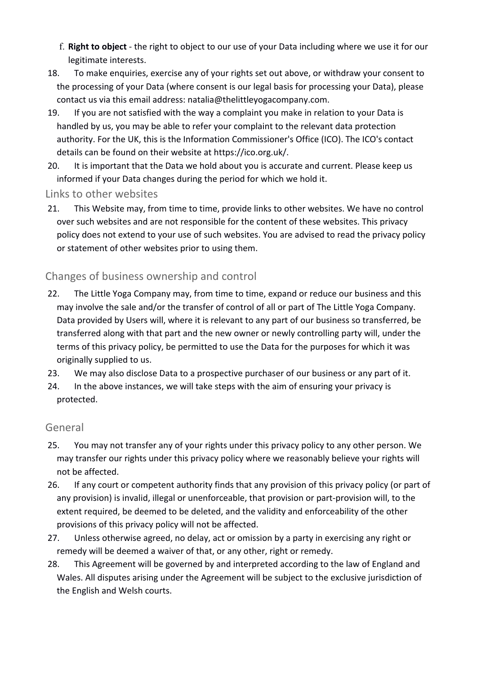- f. **Right to object** the right to object to our use of your Data including where we use it for our legitimate interests.
- 18. To make enquiries, exercise any of your rights set out above, or withdraw your consent to the processing of your Data (where consent is our legal basis for processing your Data), please contact us via this email address: natalia@thelittleyogacompany.com.
- 19. If you are not satisfied with the way a complaint you make in relation to your Data is handled by us, you may be able to refer your complaint to the relevant data protection authority. For the UK, this is the Information Commissioner's Office (ICO). The ICO's contact details can be found on their website at https://ico.org.uk/.
- 20. It is important that the Data we hold about you is accurate and current. Please keep us informed if your Data changes during the period for which we hold it.

### Links to other websites

 21. This Website may, from time to time, provide links to other websites. We have no control over such websites and are not responsible for the content of these websites. This privacy policy does not extend to your use of such websites. You are advised to read the privacy policy or statement of other websites prior to using them.

### Changes of business ownership and control

- 22. The Little Yoga Company may, from time to time, expand or reduce our business and this may involve the sale and/or the transfer of control of all or part of The Little Yoga Company. Data provided by Users will, where it is relevant to any part of our business so transferred, be transferred along with that part and the new owner or newly controlling party will, under the terms of this privacy policy, be permitted to use the Data for the purposes for which it was originally supplied to us.
- 23. We may also disclose Data to a prospective purchaser of our business or any part of it.
- 24. In the above instances, we will take steps with the aim of ensuring your privacy is protected.

#### General

- 25. You may not transfer any of your rights under this privacy policy to any other person. We may transfer our rights under this privacy policy where we reasonably believe your rights will not be affected.
- 26. If any court or competent authority finds that any provision of this privacy policy (or part of any provision) is invalid, illegal or unenforceable, that provision or part-provision will, to the extent required, be deemed to be deleted, and the validity and enforceability of the other provisions of this privacy policy will not be affected.
- 27. Unless otherwise agreed, no delay, act or omission by a party in exercising any right or remedy will be deemed a waiver of that, or any other, right or remedy.
- 28. This Agreement will be governed by and interpreted according to the law of England and Wales. All disputes arising under the Agreement will be subject to the exclusive jurisdiction of the English and Welsh courts.